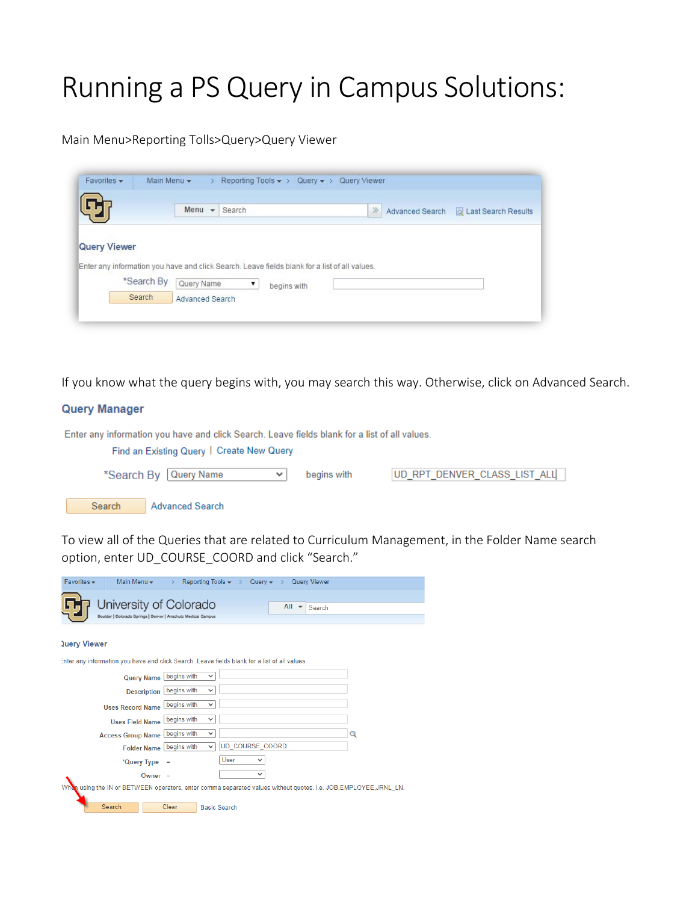## Running a PS Query in Campus Solutions:

Main Menu>Reporting Tolls>Query>Query Viewer

|                     |            | Menu       | $\mathbf{v}$<br>Search |                                                                                               | $\gg$ | Advanced Search   al Last Search Results |
|---------------------|------------|------------|------------------------|-----------------------------------------------------------------------------------------------|-------|------------------------------------------|
|                     |            |            |                        |                                                                                               |       |                                          |
|                     |            |            |                        | Enter any information you have and click Search. Leave fields blank for a list of all values. |       |                                          |
| <b>Query Viewer</b> | *Search By | Query Name | $\pmb{\mathrm{v}}$     | begins with                                                                                   |       |                                          |

If you know what the query begins with, you may search this way. Otherwise, click on Advanced Search.

## **Query Manager**

| Enter any information you have and click Search. Leave fields blank for a list of all values. |             |                              |
|-----------------------------------------------------------------------------------------------|-------------|------------------------------|
| Find an Existing Query   Create New Query                                                     |             |                              |
| *Search By Query Name<br>$\checkmark$                                                         | begins with | UD RPT DENVER CLASS LIST ALL |
| Search<br><b>Advanced Search</b>                                                              |             |                              |

To view all of the Queries that are related to Curriculum Management, in the Folder Name search option, enter UD\_COURSE\_COORD and click "Search."

| Favorites -<br>Main Menu -<br>Reporting Tools $\rightarrow$ $\rightarrow$ Query $\rightarrow$<br><b>Query Viewer</b><br>$\rightarrow$ |   |
|---------------------------------------------------------------------------------------------------------------------------------------|---|
| University of Colorado<br>$All -$                                                                                                     |   |
| Search<br>Boulder   Colorado Springs   Denver   Anschutz Medical Campus                                                               |   |
|                                                                                                                                       |   |
| <b>Query Viewer</b>                                                                                                                   |   |
| Enter any information you have and click Search. Leave fields blank for a list of all values.                                         |   |
| begins with<br>$\checkmark$<br><b>Query Name</b>                                                                                      |   |
| Description begins with<br>$\checkmark$                                                                                               |   |
| begins with<br>$\checkmark$<br><b>Uses Record Name</b>                                                                                |   |
| begins with<br>$\checkmark$<br><b>Uses Field Name</b>                                                                                 |   |
| begins with<br>$\checkmark$<br><b>Access Group Name</b>                                                                               | Q |
| UD COURSE COORD<br>begins with<br>$\checkmark$<br><b>Folder Name</b>                                                                  |   |
| User<br>◡<br>*Query Type<br>$\equiv$                                                                                                  |   |
| $\checkmark$<br>Owner $=$                                                                                                             |   |
| When using the IN or BETWEEN operators, enter comma separated values without quotes. i.e. JOB,EMPLOYEE,JRNL LN.                       |   |
| Search<br>Clear<br><b>Basic Search</b>                                                                                                |   |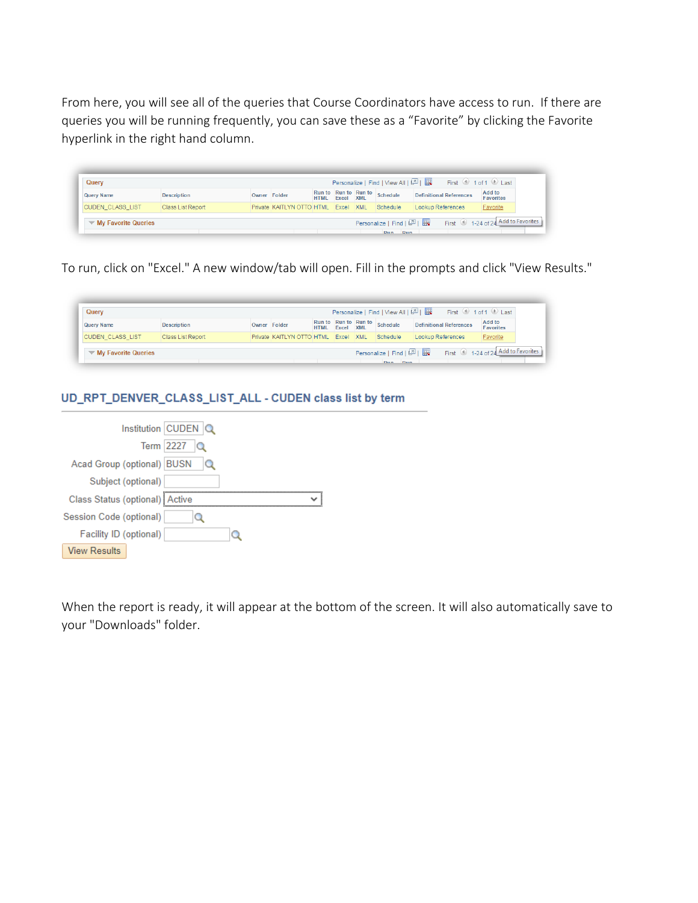From here, you will see all of the queries that Course Coordinators have access to run. If there are queries you will be running frequently, you can save these as a "Favorite" by clicking the Favorite hyperlink in the right hand column.

| <b>Personalize   Find   View All   스키   展</b><br>First <b>1</b> of 1 D Last<br>Querv |                          |  |                                     |             |           |                      |                                       |                                   |                            |
|--------------------------------------------------------------------------------------|--------------------------|--|-------------------------------------|-------------|-----------|----------------------|---------------------------------------|-----------------------------------|----------------------------|
| <b>Query Name</b>                                                                    | <b>Description</b>       |  | Owner Folder                        | <b>HTMI</b> | Excel XML | Run to Run to Run to | Schedule                              | <b>Definitional References</b>    | Add to<br><b>Favorites</b> |
| <b>CUDEN CLASS LIST</b>                                                              | <b>Class List Report</b> |  | Private KAITLYN OTTO HTML Excel XML |             |           |                      | Schedule                              | Lookup References                 | Favorite                   |
| $\blacktriangledown$ My Favorite Queries                                             |                          |  |                                     |             |           |                      | Personalize   Find   2    <br>Dun Dun | First 1-24 of 24 Add to Favorites |                            |

To run, click on "Excel." A new window/tab will open. Fill in the prompts and click "View Results."

| Personalize   Find   View All   2  <br>First $\circledast$ 1 of 1 $\circledast$ Last<br>Querv |                          |              |                                     |             |           |                      |                                     |                                |                                   |
|-----------------------------------------------------------------------------------------------|--------------------------|--------------|-------------------------------------|-------------|-----------|----------------------|-------------------------------------|--------------------------------|-----------------------------------|
| <b>Query Name</b>                                                                             | <b>Description</b>       | Owner Folder |                                     | <b>HTMI</b> | Excel XML | Run to Run to Run to | Schedule                            | <b>Definitional References</b> | Add to<br><b>Favorites</b>        |
| <b>CUDEN CLASS LIST</b>                                                                       | <b>Class List Report</b> |              | Private KAITLYN OTTO HTML Excel XML |             |           |                      | Schedule                            | Lookup References              | Favorite                          |
| $\blacktriangledown$ My Favorite Queries                                                      |                          |              |                                     |             |           |                      | Personalize   Find   2  <br>Dun Dun |                                | First 1-24 of 24 Add to Favorites |

## UD\_RPT\_DENVER\_CLASS\_LIST\_ALL - CUDEN class list by term

|                                  | Institution CUDEN Q |  |
|----------------------------------|---------------------|--|
|                                  | Term 2227<br>Q      |  |
| Acad Group (optional)   BUSN     |                     |  |
| Subject (optional)               |                     |  |
| Class Status (optional)   Active |                     |  |
| Session Code (optional)          |                     |  |
| Facility ID (optional)           |                     |  |
| <b>View Results</b>              |                     |  |

When the report is ready, it will appear at the bottom of the screen. It will also automatically save to your "Downloads" folder.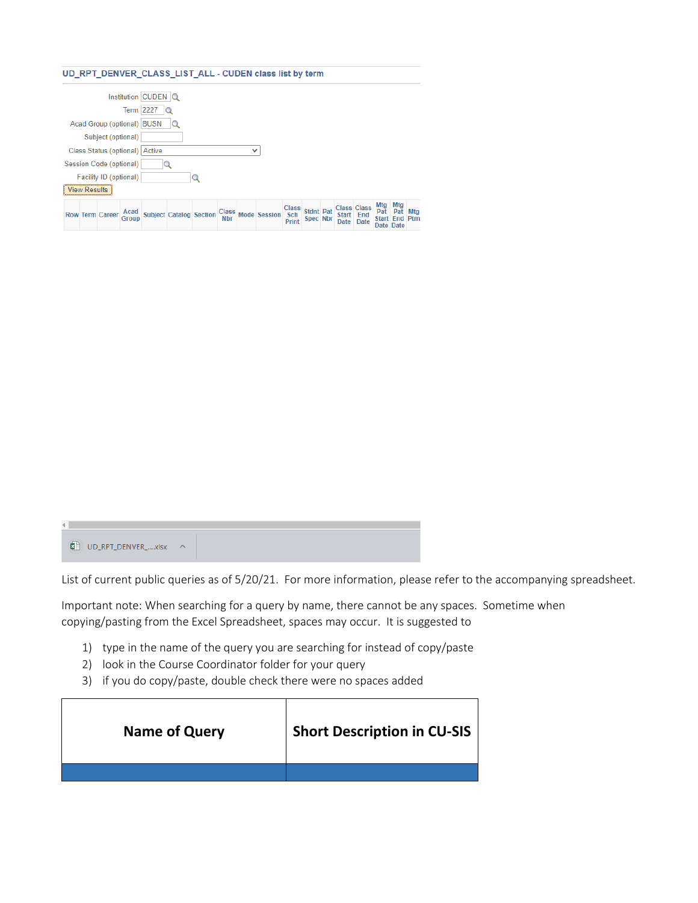## UD\_RPT\_DENVER\_CLASS\_LIST\_ALL - CUDEN class list by term

|  |                     |                         |                                | Institution CUDEN Q |                                |            |              |                    |                                     |                              |                                              |                                      |                   |             |
|--|---------------------|-------------------------|--------------------------------|---------------------|--------------------------------|------------|--------------|--------------------|-------------------------------------|------------------------------|----------------------------------------------|--------------------------------------|-------------------|-------------|
|  |                     |                         |                                | Term $2227$ $Q$     |                                |            |              |                    |                                     |                              |                                              |                                      |                   |             |
|  |                     |                         | Acad Group (optional) BUSN     |                     |                                |            |              |                    |                                     |                              |                                              |                                      |                   |             |
|  |                     | Subject (optional)      |                                |                     |                                |            |              |                    |                                     |                              |                                              |                                      |                   |             |
|  |                     |                         | Class Status (optional) Active |                     |                                |            | $\checkmark$ |                    |                                     |                              |                                              |                                      |                   |             |
|  |                     | Session Code (optional) |                                |                     |                                |            |              |                    |                                     |                              |                                              |                                      |                   |             |
|  |                     | Facility ID (optional)  |                                |                     |                                |            |              |                    |                                     |                              |                                              |                                      |                   |             |
|  | <b>View Results</b> |                         |                                |                     |                                |            |              |                    |                                     |                              |                                              |                                      |                   |             |
|  |                     | <b>Row Term Career</b>  | Acad<br>Group                  |                     | <b>Subject Catalog Section</b> | <b>Nbr</b> |              | Class Mode Session | <b>Class</b><br>Sch<br><b>Print</b> | <b>Stdnt Pat</b><br>Spec Nbr | <b>Class Class</b><br>Start End<br>Date Date | Mtg Mtg<br>Pat<br>Start<br>Date Date | Pat<br><b>Fnd</b> | Mtg<br>Ptrr |

 $\left\langle \cdot \right\rangle$ 

List of current public queries as of 5/20/21. For more information, please refer to the accompanying spreadsheet.

Important note: When searching for a query by name, there cannot be any spaces. Sometime when copying/pasting from the Excel Spreadsheet, spaces may occur. It is suggested to

- 1) type in the name of the query you are searching for instead of copy/paste
- 2) look in the Course Coordinator folder for your query
- 3) if you do copy/paste, double check there were no spaces added

| <b>Name of Query</b> | <b>Short Description in CU-SIS</b> |
|----------------------|------------------------------------|
|                      |                                    |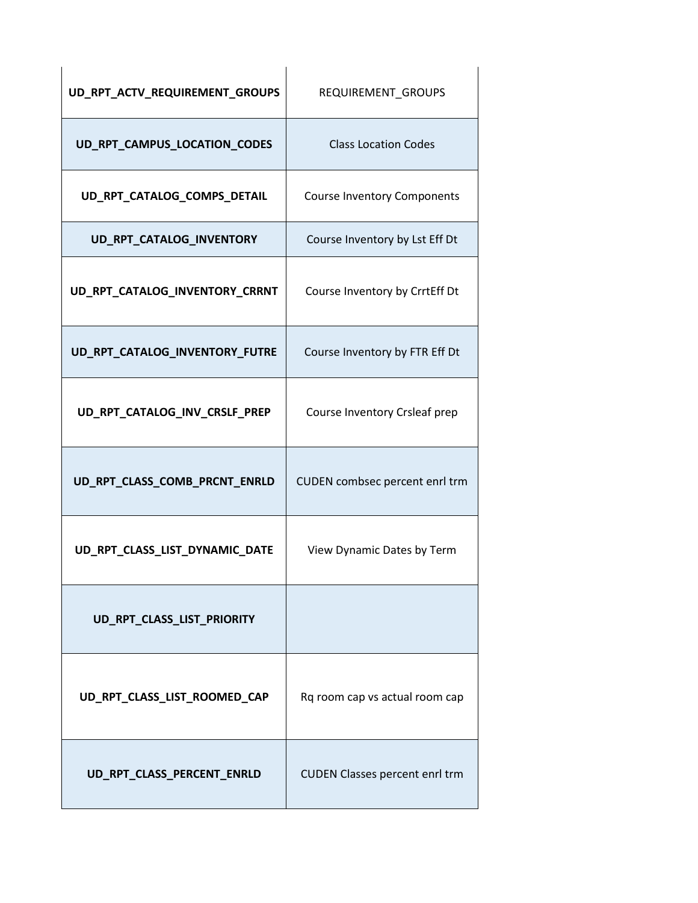| UD_RPT_ACTV_REQUIREMENT_GROUPS | REQUIREMENT GROUPS                    |
|--------------------------------|---------------------------------------|
| UD_RPT_CAMPUS_LOCATION_CODES   | <b>Class Location Codes</b>           |
| UD_RPT_CATALOG_COMPS_DETAIL    | <b>Course Inventory Components</b>    |
| UD_RPT_CATALOG_INVENTORY       | Course Inventory by Lst Eff Dt        |
| UD_RPT_CATALOG_INVENTORY_CRRNT | Course Inventory by CrrtEff Dt        |
| UD_RPT_CATALOG_INVENTORY_FUTRE | Course Inventory by FTR Eff Dt        |
| UD_RPT_CATALOG_INV_CRSLF_PREP  | Course Inventory Crsleaf prep         |
| UD_RPT_CLASS_COMB_PRCNT_ENRLD  | CUDEN combsec percent enrl trm        |
| UD_RPT_CLASS_LIST_DYNAMIC_DATE | View Dynamic Dates by Term            |
| UD_RPT_CLASS_LIST_PRIORITY     |                                       |
| UD_RPT_CLASS_LIST_ROOMED_CAP   | Rq room cap vs actual room cap        |
| UD_RPT_CLASS_PERCENT_ENRLD     | <b>CUDEN Classes percent enrl trm</b> |